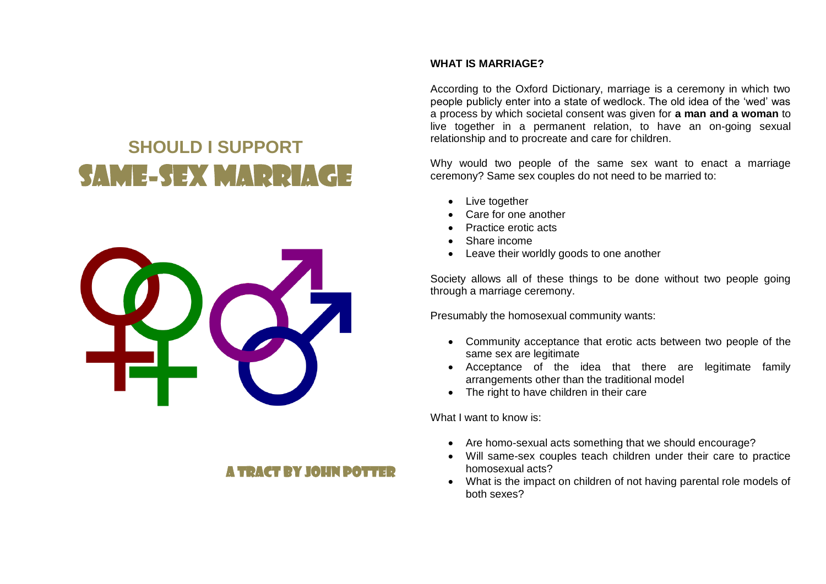# **SHOULD I SUPPORT**  SAME-SEX MARRIA



# A TDACT RY IOUN DOT

## **WHAT IS MARRIAGE?**

According to the Oxford Dictionary, marriage is a ceremony in which two people publicly enter into a state of wedlock. The old idea of the 'wed' was a process by which societal consent was given for **a man and a woman** to live together in a permanent relation, to have an on-going sexual relationship and to procreate and care for children.

Why would two people of the same sex want to enact a marriage ceremony? Same sex couples do not need to be married to:

- Live together
- Care for one another
- Practice erotic acts
- Share income
- Leave their worldly goods to one another

Society allows all of these things to be done without two people going through a marriage ceremony.

Presumably the homosexual community wants:

- Community acceptance that erotic acts between two people of the same sex are legitimate
- Acceptance of the idea that there are legitimate family arrangements other than the traditional model
- The right to have children in their care

What I want to know is:

- Are homo-sexual acts something that we should encourage?
- Will same-sex couples teach children under their care to practice homosexual acts?
- What is the impact on children of not having parental role models of both sexes?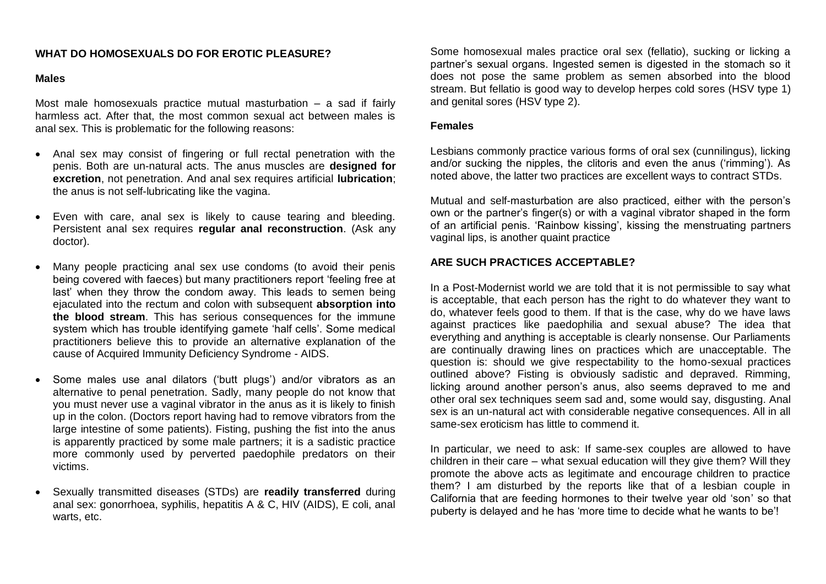## **WHAT DO HOMOSEXUALS DO FOR EROTIC PLEASURE?**

#### **Males**

Most male homosexuals practice mutual masturbation – a sad if fairly harmless act. After that, the most common sexual act between males is anal sex. This is problematic for the following reasons:

- Anal sex may consist of fingering or full rectal penetration with the penis. Both are un-natural acts. The anus muscles are **designed for excretion**, not penetration. And anal sex requires artificial **lubrication**; the anus is not self-lubricating like the vagina.
- Even with care, anal sex is likely to cause tearing and bleeding. Persistent anal sex requires **regular anal reconstruction**. (Ask any doctor).
- Many people practicing anal sex use condoms (to avoid their penis being covered with faeces) but many practitioners report 'feeling free at last' when they throw the condom away. This leads to semen being ejaculated into the rectum and colon with subsequent **absorption into the blood stream**. This has serious consequences for the immune system which has trouble identifying gamete 'half cells'. Some medical practitioners believe this to provide an alternative explanation of the cause of Acquired Immunity Deficiency Syndrome - AIDS.
- Some males use anal dilators ('butt plugs') and/or vibrators as an alternative to penal penetration. Sadly, many people do not know that you must never use a vaginal vibrator in the anus as it is likely to finish up in the colon. (Doctors report having had to remove vibrators from the large intestine of some patients). Fisting, pushing the fist into the anus is apparently practiced by some male partners; it is a sadistic practice more commonly used by perverted paedophile predators on their victims.
- Sexually transmitted diseases (STDs) are **readily transferred** during anal sex: gonorrhoea, syphilis, hepatitis A & C, HIV (AIDS), E coli, anal warts, etc.

Some homosexual males practice oral sex (fellatio), sucking or licking a partner's sexual organs. Ingested semen is digested in the stomach so it does not pose the same problem as semen absorbed into the blood stream. But fellatio is good way to develop herpes cold sores (HSV type 1) and genital sores (HSV type 2).

#### **Females**

Lesbians commonly practice various forms of oral sex (cunnilingus), licking and/or sucking the nipples, the clitoris and even the anus ('rimming'). As noted above, the latter two practices are excellent ways to contract STDs.

Mutual and self-masturbation are also practiced, either with the person's own or the partner's finger(s) or with a vaginal vibrator shaped in the form of an artificial penis. 'Rainbow kissing', kissing the menstruating partners vaginal lips, is another quaint practice

#### **ARE SUCH PRACTICES ACCEPTABLE?**

In a Post-Modernist world we are told that it is not permissible to say what is acceptable, that each person has the right to do whatever they want to do, whatever feels good to them. If that is the case, why do we have laws against practices like paedophilia and sexual abuse? The idea that everything and anything is acceptable is clearly nonsense. Our Parliaments are continually drawing lines on practices which are unacceptable. The question is: should we give respectability to the homo-sexual practices outlined above? Fisting is obviously sadistic and depraved. Rimming, licking around another person's anus, also seems depraved to me and other oral sex techniques seem sad and, some would say, disgusting. Anal sex is an un-natural act with considerable negative consequences. All in all same-sex eroticism has little to commend it.

In particular, we need to ask: If same-sex couples are allowed to have children in their care – what sexual education will they give them? Will they promote the above acts as legitimate and encourage children to practice them? I am disturbed by the reports like that of a lesbian couple in California that are feeding hormones to their twelve year old 'son' so that puberty is delayed and he has 'more time to decide what he wants to be'!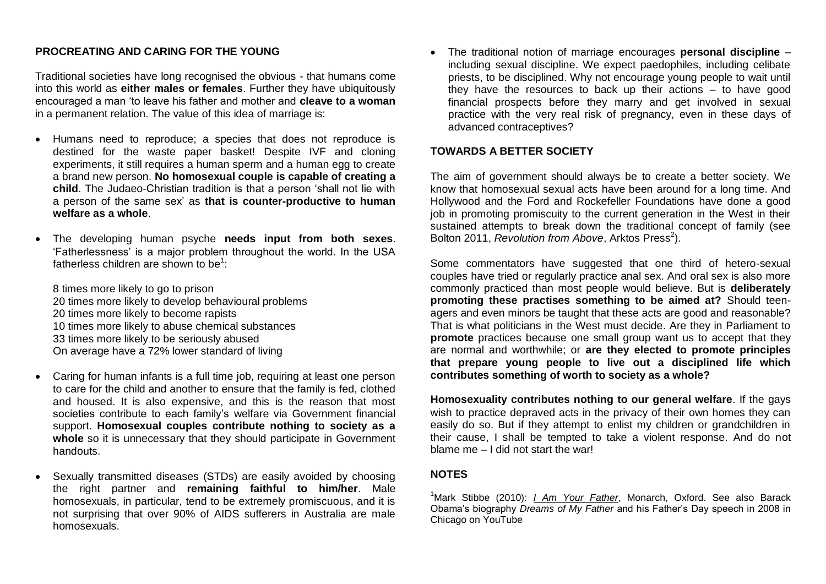# **PROCREATING AND CARING FOR THE YOUNG**

Traditional societies have long recognised the obvious - that humans come into this world as **either males or females**. Further they have ubiquitously encouraged a man 'to leave his father and mother and **cleave to a woman**  in a permanent relation. The value of this idea of marriage is:

- Humans need to reproduce; a species that does not reproduce is destined for the waste paper basket! Despite IVF and cloning experiments, it still requires a human sperm and a human egg to create a brand new person. **No homosexual couple is capable of creating a child**. The Judaeo-Christian tradition is that a person 'shall not lie with a person of the same sex' as **that is counter-productive to human welfare as a whole**.
- The developing human psyche **needs input from both sexes**. 'Fatherlessness' is a major problem throughout the world. In the USA fatherless children are shown to be<sup>1</sup>:

8 times more likely to go to prison 20 times more likely to develop behavioural problems 20 times more likely to become rapists 10 times more likely to abuse chemical substances 33 times more likely to be seriously abused On average have a 72% lower standard of living

- Caring for human infants is a full time job, requiring at least one person to care for the child and another to ensure that the family is fed, clothed and housed. It is also expensive, and this is the reason that most societies contribute to each family's welfare via Government financial support. **Homosexual couples contribute nothing to society as a**  whole so it is unnecessary that they should participate in Government handouts.
- Sexually transmitted diseases (STDs) are easily avoided by choosing the right partner and **remaining faithful to him/her**. Male homosexuals, in particular, tend to be extremely promiscuous, and it is not surprising that over 90% of AIDS sufferers in Australia are male homosexuals.

 The traditional notion of marriage encourages **personal discipline** – including sexual discipline. We expect paedophiles, including celibate priests, to be disciplined. Why not encourage young people to wait until they have the resources to back up their actions – to have good financial prospects before they marry and get involved in sexual practice with the very real risk of pregnancy, even in these days of advanced contraceptives?

#### **TOWARDS A BETTER SOCIETY**

The aim of government should always be to create a better society. We know that homosexual sexual acts have been around for a long time. And Hollywood and the Ford and Rockefeller Foundations have done a good job in promoting promiscuity to the current generation in the West in their sustained attempts to break down the traditional concept of family (see Bolton 2011, *Revolution from Above*, Arktos Press<sup>2</sup>).

Some commentators have suggested that one third of hetero-sexual couples have tried or regularly practice anal sex. And oral sex is also more commonly practiced than most people would believe. But is **deliberately promoting these practises something to be aimed at?** Should teenagers and even minors be taught that these acts are good and reasonable? That is what politicians in the West must decide. Are they in Parliament to **promote** practices because one small group want us to accept that they are normal and worthwhile; or **are they elected to promote principles that prepare young people to live out a disciplined life which contributes something of worth to society as a whole?**

**Homosexuality contributes nothing to our general welfare**. If the gays wish to practice depraved acts in the privacy of their own homes they can easily do so. But if they attempt to enlist my children or grandchildren in their cause, I shall be tempted to take a violent response. And do not blame me – I did not start the war!

#### **NOTES**

<sup>1</sup>Mark Stibbe (2010): *I Am Your Father*, Monarch, Oxford. See also Barack Obama's biography *Dreams of My Father* and his Father's Day speech in 2008 in Chicago on YouTube